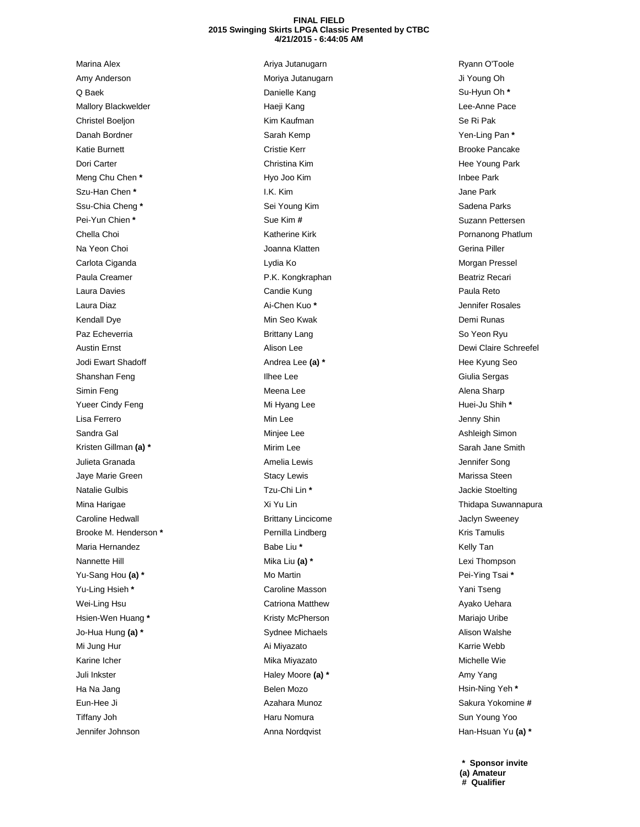## **FINAL FIELD 2015 Swinging Skirts LPGA Classic Presented by CTBC 4/21/2015 - 6:44:05 AM**

Marina Alex Amy Anderson Q Baek Mallory Blackwelder Christel Boeljon Danah Bordner Katie Burnett Dori Carter Meng Chu Chen **\*** Szu-Han Chen **\*** Ssu-Chia Cheng **\*** Pei-Yun Chien **\*** Chella Choi Na Yeon Choi Carlota Ciganda Paula Creamer Laura Davies Laura Diaz Kendall Dye Paz Echeverria Austin Ernst Jodi Ewart Shadoff Shanshan Feng Simin Feng Yueer Cindy Feng Lisa Ferrero Sandra Gal Kristen Gillman **(a) \*** Julieta Granada Jaye Marie Green Natalie Gulbis Mina Harigae Caroline Hedwall Brooke M. Henderson **\*** Maria Hernandez Nannette Hill Yu-Sang Hou **(a) \*** Yu-Ling Hsieh **\*** Wei-Ling Hsu Hsien-Wen Huang **\*** Jo-Hua Hung **(a) \*** Mi Jung Hur Karine Icher Juli Inkster Ha Na Jang Eun-Hee Ji Tiffany Joh Jennifer Johnson

Ariya Jutanugarn Moriya Jutanugarn Danielle Kang Haeji Kang Kim Kaufman Sarah Kemp Cristie Kerr Christina Kim Hyo Joo Kim I.K. Kim Sei Young Kim Sue Kim **#** Katherine Kirk Joanna Klatten Lydia Ko P.K. Kongkraphan Candie Kung Ai-Chen Kuo **\*** Min Seo Kwak Brittany Lang Alison Lee Andrea Lee **(a) \*** Ilhee Lee Meena Lee Mi Hyang Lee Min Lee Minjee Lee Mirim Lee Amelia Lewis Stacy Lewis Tzu-Chi Lin **\*** Xi Yu Lin Brittany Lincicome Pernilla Lindberg Babe Liu **\*** Mika Liu **(a) \*** Mo Martin Caroline Masson Catriona Matthew Kristy McPherson Sydnee Michaels Ai Miyazato Mika Miyazato Haley Moore **(a) \*** Belen Mozo Azahara Munoz Haru Nomura Anna Nordqvist

Ryann O'Toole Ji Young Oh Su-Hyun Oh **\*** Lee-Anne Pace Se Ri Pak Yen-Ling Pan **\*** Brooke Pancake Hee Young Park Inbee Park Jane Park Sadena Parks Suzann Pettersen Pornanong Phatlum Gerina Piller Morgan Pressel Beatriz Recari Paula Reto Jennifer Rosales Demi Runas So Yeon Ryu Dewi Claire Schreefel Hee Kyung Seo Giulia Sergas Alena Sharp Huei-Ju Shih **\*** Jenny Shin Ashleigh Simon Sarah Jane Smith Jennifer Song Marissa Steen Jackie Stoelting Thidapa Suwannapura Jaclyn Sweeney Kris Tamulis Kelly Tan Lexi Thompson Pei-Ying Tsai **\*** Yani Tseng Ayako Uehara Mariajo Uribe Alison Walshe Karrie Webb Michelle Wie Amy Yang Hsin-Ning Yeh **\*** Sakura Yokomine **#** Sun Young Yoo Han-Hsuan Yu **(a) \***

**\* Sponsor invite (a) Amateur # Qualifier**